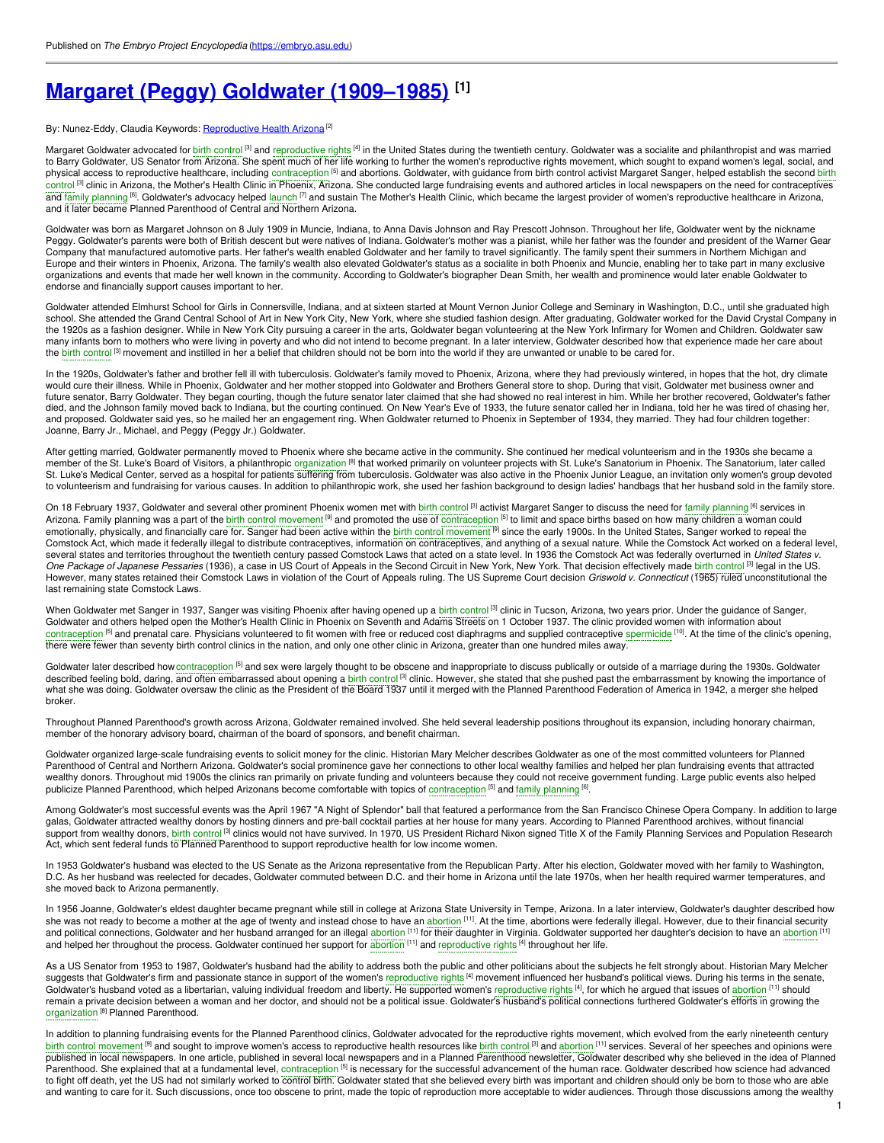# **Margaret (Peggy) Goldwater [\(1909–1985\)](https://embryo.asu.edu/pages/margaret-peggy-goldwater-1909-1985) [1]**

#### By: Nunez-Eddy, Claudia Keywords: [Reproductive](https://embryo.asu.edu/keywords/reproductive-health-arizona) Health Arizona<sup>[2]</sup>

Margaret Goldwater advocated for birth [control](https://embryo.asu.edu/search?text=birth%20control) <sup>[3]</sup> and [reproductive](https://embryo.asu.edu/search?text=reproductive%20rights) rights <sup>[4]</sup> in the United States during the twentieth century. Goldwater was a socialite and philanthropist and was married to Barry Goldwater, US Senator from Arizona. She spent much of her life working to further the women's reproductive rights movement, which sought to expand women's legal, social, and physical access to reproductive healthcare, including [contraception](https://embryo.asu.edu/search?text=birth%20control) <sup>[5]</sup> and abortions. Goldwater, with guidance from birth control activist Margaret Sanger, helped establish the second birth control<sup>[3]</sup> clinic in Arizona, the Mother's Health Clinic in Phoenix, Arizona. She conducted large fundraising events and authored articles in local newspapers on the need for contraceptives and family [planning](https://embryo.asu.edu/search?text=family%20planning) <sup>[6]</sup>. Goldwater's advocacy helped [launch](https://embryo.asu.edu/search?text=launch) <sup>[7]</sup> and sustain The Mother's Health Clinic, which became the largest provider of women's reproductive healthcare in Arizona, and it later became Planned Parenthood of Central and Northern Arizona.

Goldwater was born as Margaret Johnson on 8 July 1909 in Muncie, Indiana, to Anna Davis Johnson and Ray Prescott Johnson. Throughout her life, Goldwater went by the nickname Peggy. Goldwater's parents were both of British descent but were natives of Indiana. Goldwater's mother was a pianist, while her father was the founder and president of the Warner Gear Company that manufactured automotive parts. Her father's wealth enabled Goldwater and her family to travel significantly. The family spent their summers in Northern Michigan and Europe and their winters in Phoenix, Arizona. The family's wealth also elevated Goldwater's status as a socialite in both Phoenix and Muncie, enabling her to take part in many exclusive organizations and events that made her well known in the community. According to Goldwater's biographer Dean Smith, her wealth and prominence would later enable Goldwater to endorse and financially support causes important to her.

Goldwater attended Elmhurst School for Girls in Connersville, Indiana, and at sixteen started at Mount Vernon Junior College and Seminary in Washington, D.C., until she graduated high school. She attended the Grand Central School of Art in New York City, New York, where she studied fashion design. After graduating, Goldwater worked for the David Crystal Company in the 1920s as a fashion designer. While in New York City pursuing a career in the arts, Goldwater began volunteering at the New York Infirmary for Women and Children. Goldwater saw many infants born to mothers who were living in poverty and who did not intend to become pregnant. In a later interview, Goldwater described how that experience made her care about the birth [contro](https://embryo.asu.edu/search?text=birth%20control)l <sup>[3]</sup> movement and instilled in her a belief that children should not be born into the world if they are unwanted or unable to be cared for.

In the 1920s, Goldwater's father and brother fell ill with tuberculosis. Goldwater's family moved to Phoenix, Arizona, where they had previously wintered, in hopes that the hot, dry climate would cure their illness. While in Phoenix, Goldwater and her mother stopped into Goldwater and Brothers General store to shop. During that visit, Goldwater met business owner and future senator, Barry Goldwater. They began courting, though the future senator later claimed that she had showed no real interest in him. While her brother recovered, Goldwater's father died, and the Johnson family moved back to Indiana, but the courting continued. On New Year's Eve of 1933, the future senator called her in Indiana, told her he was tired of chasing her, and proposed. Goldwater said yes, so he mailed her an engagement ring. When Goldwater returned to Phoenix in September of 1934, they married. They had four children together: Joanne, Barry Jr., Michael, and Peggy (Peggy Jr.) Goldwater.

After getting married, Goldwater permanently moved to Phoenix where she became active in the community. She continued her medical volunteerism and in the 1930s she became a member of the St. Luke's Board of Visitors, a philanthropic [organization](https://embryo.asu.edu/search?text=organization) <sup>[8]</sup> that worked primarily on volunteer projects with St. Luke's Sanatorium in Phoenix. The Sanatorium, later called St. Luke's Medical Center, served as a hospital for patients suffering from tuberculosis. Goldwater was also active in the Phoenix Junior League, an invitation only women's group devoted to volunteerism and fundraising for various causes. In addition to philanthropic work, she used her fashion background to design ladies' handbags that her husband sold in the family store.

On 18 February 1937, Goldwater and several other prominent Phoenix women met with birth [contro](https://embryo.asu.edu/search?text=birth%20control)l [3] activist Margaret Sanger to discuss the need for family [planning](https://embryo.asu.edu/search?text=family%20planning) <sup>[6]</sup> services in Arizona. Family planning was a part of the birth control [movement](https://embryo.asu.edu/search?text=birth%20control%20movement) <sup>[9]</sup> and promoted the use of [contraception](https://embryo.asu.edu/search?text=contraception) <sup>[5]</sup> to limit and space births based on how many children a woman could emotionally, physically, and financially care for. Sanger had been active within the birth control [movement](https://embryo.asu.edu/search?text=birth%20control%20movement) <sup>[9]</sup> since the early 1900s. In the United States, Sanger worked to repeal the Comstock Act, which made it federally illegal to distribute contraceptives, information on contraceptives, and anything of a sexual nature. While the Comstock Act worked on a federal level, several states and territories throughout the twentieth century passed Comstock Laws that acted on a state level. In 1936 the Comstock Act was federally overturned in *United States v. One Package of Japanese Pessaries* (1936), a case in US Court of Appeals in the Second Circuit in New York, New York. That decision effectively made birth [contro](https://embryo.asu.edu/search?text=birth%20control)l [3] legal in the US. However, many states retained their Comstock Laws in violation of the Court of Appeals ruling. The US Supreme Court decision *Griswold v. Connecticut* (1965) ruled unconstitutional the last remaining state Comstock Laws.

When Goldwater met Sanger in 1937, Sanger was visiting Phoenix after having opened up a birth [control](https://embryo.asu.edu/search?text=birth%20control) <sup>[3]</sup> clinic in Tucson, Arizona, two years prior. Under the guidance of Sanger, Goldwater and others helped open the Mother's Health Clinic in Phoenix on Seventh and Adams Streets on 1 October 1937. The clinic provided women with information about [contraception](https://embryo.asu.edu/search?text=contraception) <sup>[5]</sup> and prenatal care. Physicians volunteered to fit women with free or reduced cost diaphragms and supplied contraceptive [spermicide](https://embryo.asu.edu/search?text=spermicide) <sup>[10]</sup>. At the time of the clinic's opening, there were fewer than seventy birth control clinics in the nation, and only one other clinic in Arizona, greater than one hundred miles away.

Goldwater later described how [contraception](https://embryo.asu.edu/search?text=contraception) <sup>[5]</sup> and sex were largely thought to be obscene and inappropriate to discuss publically or outside of a marriage during the 1930s. Goldwater described feeling bold, daring, and often embarrassed about opening a birth [contro](https://embryo.asu.edu/search?text=birth%20control)l [3] clinic. However, she stated that she pushed past the embarrassment by knowing the importance of what she was doing. Goldwater oversaw the clinic as the President of the Board 1937 until it merged with the Planned Parenthood Federation of America in 1942, a merger she helped broker.

Throughout Planned Parenthood's growth across Arizona, Goldwater remained involved. She held several leadership positions throughout its expansion, including honorary chairman, member of the honorary advisory board, chairman of the board of sponsors, and benefit chairman.

Goldwater organized large-scale fundraising events to solicit money for the clinic. Historian Mary Melcher describes Goldwater as one of the most committed volunteers for Planned Parenthood of Central and Northern Arizona. Goldwater's social prominence gave her connections to other local wealthy families and helped her plan fundraising events that attracted wealthy donors. Throughout mid 1900s the clinics ran primarily on private funding and volunteers because they could not receive government funding. Large public events also helped publicize Planned Parenthood, which helped Arizonans become comfortable with topics of [contraception](https://embryo.asu.edu/search?text=contraception) <sup>[5]</sup> and family [planning](https://embryo.asu.edu/search?text=family%20planning) <sup>[6]</sup>.

Among Goldwater's most successful events was the April 1967 "A Night of Splendor" ball that featured a performance from the San Francisco Chinese Opera Company. In addition to large galas, Goldwater attracted wealthy donors by hosting dinners and pre-ball cocktail parties at her house for many years. According to Planned Parenthood archives, without financial support from wealthy donors, birth [contro](https://embryo.asu.edu/search?text=birth%20control)l<sup>[3]</sup> clinics would not have survived. In 1970, US President Richard Nixon signed Title X of the Family Planning Services and Population Research Act, which sent federal funds to Planned Parenthood to support reproductive health for low income women.

In 1953 Goldwater's husband was elected to the US Senate as the Arizona representative from the Republican Party. After his election, Goldwater moved with her family to Washington, D.C. As her husband was reelected for decades, Goldwater commuted between D.C. and their home in Arizona until the late 1970s, when her health required warmer temperatures, and she moved back to Arizona permanently.

In 1956 Joanne, Goldwater's eldest daughter became pregnant while still in college at Arizona State University in Tempe, Arizona. In a later interview, Goldwater's daughter described how she was not ready to become a mother at the age of twenty and instead chose to have an [abortion](https://embryo.asu.edu/search?text=abortion)<sup>[11]</sup>. At the time, abortions were federally illegal. However, due to their financial security and political connections, Goldwater and her husband arranged for an illegal [abortion](https://embryo.asu.edu/search?text=abortion) <sup>[11]</sup> for their daughter in Virginia. Goldwater supported her daughter's decision to have an abortion <sup>[11]</sup> and helped her throughout the process. Goldwater continued her support for [abortion](https://embryo.asu.edu/search?text=abortion) [11] and [reproductive](https://embryo.asu.edu/search?text=reproductive%20rights) rights [4] throughout her life.

As a US Senator from 1953 to 1987, Goldwater's husband had the ability to address both the public and other politicians about the subjects he felt strongly about. Historian Mary Melcher suggests that Goldwater's firm and passionate stance in support of the women's [reproductive](https://embryo.asu.edu/search?text=reproductive%20rights) rights <sup>[4]</sup> movement influenced her husband's political views. During his terms in the senate, Goldwater's husband voted as a libertarian, valuing individual freedom and liberty. He supported women's [reproductive](https://embryo.asu.edu/search?text=reproductive%20rights) rights <sup>[4]</sup>, for which he argued that issues of [abortion](https://embryo.asu.edu/search?text=abortion) [11] should remain a private decision between a woman and her doctor, and should not be a political issue. Goldwater's husband's political connections furthered Goldwater's efforts in growing the [organization](https://embryo.asu.edu/search?text=organization)<sup>[8]</sup> Planned Parenthood.

In addition to planning fundraising events for the Planned Parenthood clinics, Goldwater advocated for the reproductive rights movement, which evolved from the early nineteenth century birth control [movement](https://embryo.asu.edu/search?text=birth%20control%20movement) <sup>[9]</sup> and sought to improve women's access to reproductive health resources like birth [control](https://embryo.asu.edu/search?text=birth%20control) <sup>[3]</sup> and [abortion](https://embryo.asu.edu/search?text=abortion) <sup>[11]</sup> services. Several of her speeches and opinions were published in local newspapers. In one article, published in several local newspapers and in a Planned Parenthood newsletter, Goldwater described why she believed in the idea of Planned Parenthood. She explained that at a fundamental level, [contraception](https://embryo.asu.edu/search?text=contraception) <sup>[5]</sup> is necessary for the successful advancement of the human race. Goldwater described how science had advanced to fight off death, yet the US had not similarly worked to control birth. Goldwater stated that she believed every birth was important and children should only be born to those who are able and wanting to care for it. Such discussions, once too obscene to print, made the topic of reproduction more acceptable to wider audiences. Through those discussions among the wealthy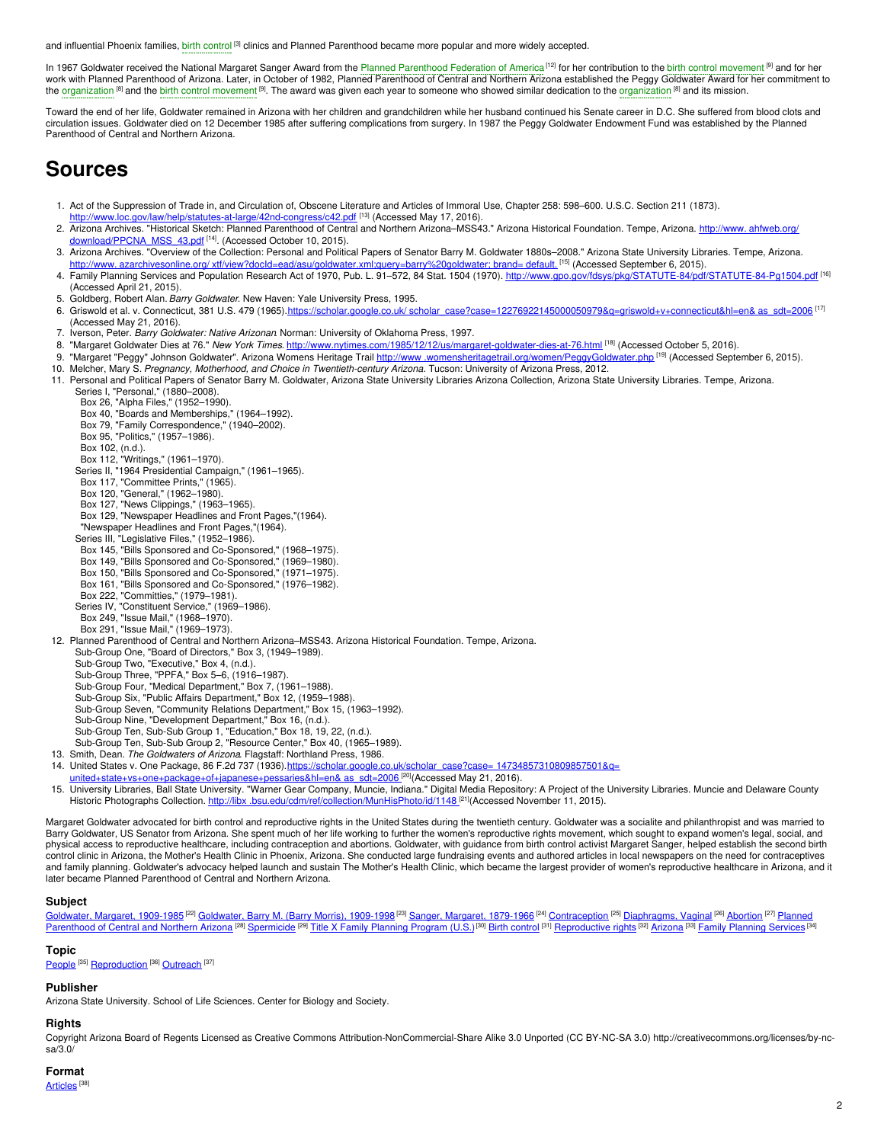and influential Phoenix families, birth [control](https://embryo.asu.edu/search?text=birth%20control)<sup>[3]</sup> clinics and Planned Parenthood became more popular and more widely accepted.

In 1967 Goldwater received the National Margaret Sanger Award from the Planned [Parenthood](https://embryo.asu.edu/search?text=Planned%20Parenthood%20Federation%20of%20America) Federation of America<sup>[12]</sup> for her contribution to the birth control [movement](https://embryo.asu.edu/search?text=birth%20control%20movement)<sup>[9]</sup> and for her work with Planned Parenthood of Arizona. Later, in October of 1982, Planned Parenthood of Central and Northern Arizona established the Peggy Goldwater Award for her commitment to the [organization](https://embryo.asu.edu/search?text=organization) <sup>[8]</sup> and the birth control [movement](https://embryo.asu.edu/search?text=birth%20control%20movement) <sup>[9]</sup>. The award was given each year to someone who showed similar dedication to the organization <sup>[8]</sup> and its mission.

Toward the end of her life, Goldwater remained in Arizona with her children and grandchildren while her husband continued his Senate career in D.C. She suffered from blood clots and circulation issues. Goldwater died on 12 December 1985 after suffering complications from surgery. In 1987 the Peggy Goldwater Endowment Fund was established by the Planned Parenthood of Central and Northern Arizona.

# **Sources**

- 1. Act of the Suppression of Trade in, and Circulation of, Obscene Literature and Articles of Immoral Use, Chapter 258: 598–600. U.S.C. Section 211 (1873).
- <http://www.loc.gov/law/help/statutes-at-large/42nd-congress/c42.pdf> [13] (Accessed May 17, 2016).
- 2. Arizona Archives. "Historical Sketch: Planned Parenthood of Central and Northern Arizona–MSS43." Arizona Historical Foundation. Tempe, Arizona. http://www.ahfweb.org/ [download/PPCNA\\_MSS\\_43.pdf](http://www.ahfweb.org/download/PPCNA_MSS_43.pdf) [<sup>14]</sup>. (Accessed October 10, 2015).
- 3. Arizona Archives. "Overview of the Collection: Personal and Political Papers of Senator Barry M. Goldwater 1880s–2008." Arizona State University Libraries. Tempe, Arizona. http://www.azarchivesonline.org/xtf/view?docld=ead/asu/goldwater.xml;query=barry%20goldwater; brand= default. <sup>[15]</sup> (Accessed September 6, 2015).
- 4. Family Planning Services and Population Research Act of 1970, Pub. L. 91–572, 84 Stat. 1504 (1970). <http://www.gpo.gov/fdsys/pkg/STATUTE-84/pdf/STATUTE-84-Pg1504.pdf> [<sup>16]</sup> (Accessed April 21, 2015).
- 5. Goldberg, Robert Alan.*Barry Goldwater*. New Haven: Yale University Press, 1995.
- 6. Griswold et al. v. Connecticut, 381 U.S. 479 (1965).https://scholar.google.co.uk/ [scholar\\_case?case=12276922145000050979&q=griswold+v+connecticut&hl=en&](https://scholar.google.co.uk/scholar_case?case=12276922145000050979&q=%0A%09%09griswold+v+connecticut&hl=en&as_sdt=2006) as\_sdt=2006<sup>[17]</sup> (Accessed May 21, 2016).
- 7. Iverson, Peter. *Barry Goldwater: Native Arizonan*. Norman: University of Oklahoma Press, 1997.
- 8. "Margaret Goldwater Dies at 76." *New York Times*. [http://www.nytimes.com/1985/12/12/us/margaret-goldwater-dies-at-76.html](http://www.nytimes.com/1985/12/12/us/margaret-goldwater-dies-at-76.html%0A%09%09) <sup>na</sup>l (Accessed October 5, 2016).
- 9. "Margaret "Peggy" Johnson Goldwater". Arizona Womens Heritage Trail http://www[.womensheritagetrail.org/women/PeggyGoldwater.php](http://www.womensheritagetrail.org/women/PeggyGoldwater.php) <sup>[19]</sup> (Accessed September 6, 2015).
- 10. Melcher, Mary S. *Pregnancy, Motherhood, and Choice in Twentieth-century Arizona*. Tucson: University of Arizona Press, 2012.
- 11. Personal and Political Papers of Senator Barry M. Goldwater, Arizona State University Libraries Arizona Collection, Arizona State University Libraries. Tempe, Arizona.
	- Series I, "Personal," (1880–2008). Box 26, "Alpha Files," (1952–1990).
	- Box 40, "Boards and Memberships," (1964–1992).
	- Box 79, "Family Correspondence," (1940–2002).
	- Box 95, "Politics," (1957–1986).
	- Box 102, (n.d.).
	-
	- Box 112, "Writings," (1961–1970). Series II, "1964 Presidential Campaign," (1961–1965).
	-
	- Box 117, "Committee Prints," (1965).<br>Box 120, "General," (1962–1980).
	-
	- Box 127, "News Clippings," (1963–1965).<br>Box 129, "Newspaper Headlines and Front Pages,"(1964).
	- "Newspaper Headlines and Front Pages,"(1964).
	-
	- Series III, "Legislative Files," (1952–1986).<br>Box 145, "Bills Sponsored and Co-Sponsored," (1968–1975).
	-
	- Box 149, "Bills Sponsored and Co-Sponsored," (1969–1980).<br>Box 150, "Bills Sponsored and Co-Sponsored," (1971–1975).
	- Box 161, "Bills Sponsored and Co-Sponsored," (1976–1982).
	- Box 222, "Committies," (1979–1981).
	- Series IV, "Constituent Service," (1969–1986).
	- Box 249, "Issue Mail," (1968–1970).<br>Box 291, "Issue Mail," (1969–1973).
	-
- 12. Planned Parenthood of Central and Northern Arizona–MSS43. Arizona Historical Foundation. Tempe, Arizona.
	- Sub-Group One, "Board of Directors," Box 3, (1949–1989).
	- Sub-Group Two, "Executive," Box 4, (n.d.).
	- Sub-Group Three, "PPFA," Box 5–6, (1916–1987).
	- Sub-Group Four, "Medical Department," Box 7, (1961–1988).
	- Sub-Group Six, "Public Affairs Department," Box 12, (1959–1988).
	- Sub-Group Seven, "Community Relations Department," Box 15, (1963–1992).
	- Sub-Group Nine, "Development Department," Box 16, (n.d.).
	-
	- Sub-Group Ten, Sub-Sub Group 1, "Education," Box 18, 19, 22, (n.d.).<br>Sub-Group Ten, Sub-Sub Group 2, "Resource Center," Box 40, (1965–1989).
- 13. Smith, Dean. *The Goldwaters of Arizona*. Flagstaff: Northland Press, 1986.
- 14. United States v. One Package, 86 F.2d 737 (1936).https://scholar.google.co.uk/scholar\_case?case= 14734857310809857501&q=
- [united+state+vs+one+package+of+japanese+pessaries&hl=en&](https://scholar.google.co.uk/scholar_case?case=%0A%09%0914734857310809857501&q=%0A%09%09united+state+vs+one+package+of+japanese+pessaries&hl=en&%0A%09%09as_sdt=2006%0A%09%09) as\_sdt=2006<sup>[20]</sup>(Accessed May 21, 2016).
- 15. University Libraries, Ball State University. "Warner Gear Company, Muncie, Indiana." Digital Media Repository: A Project of the University Libraries. Muncie and Delaware County Historic Photographs Collection. http://libx [.bsu.edu/cdm/ref/collection/MunHisPhoto/id/1148](http://libx.bsu.edu/cdm/ref/collection/MunHisPhoto/id/1148)<sup>[21]</sup>(Accessed November 11, 2015).

Margaret Goldwater advocated for birth control and reproductive rights in the United States during the twentieth century. Goldwater was a socialite and philanthropist and was married to Barry Goldwater, US Senator from Arizona. She spent much of her life working to further the women's reproductive rights movement, which sought to expand women's legal, social, and physical access to reproductive healthcare, including contraception and abortions. Goldwater, with guidance from birth control activist Margaret Sanger, helped establish the second birth control clinic in Arizona, the Mother's Health Clinic in Phoenix, Arizona. She conducted large fundraising events and authored articles in local newspapers on the need for contraceptives and family planning. Goldwater's advocacy helped launch and sustain The Mother's Health Clinic, which became the largest provider of women's reproductive healthcare in Arizona, and it later became Planned Parenthood of Central and Northern Arizona.

#### **Subject**

[Goldwater,](https://embryo.asu.edu/library-congress-subject-headings/goldwater-barry-m-barry-morris-1909-1998) Margaret, 1909-1985<sup>122]</sup> Goldwater, Barry M. (Barry Morris), 1909-1998<sup>123]</sup> Sanger, Margaret, [1879-1966](https://embryo.asu.edu/library-congress-subject-headings/sanger-margaret-1879-1966)<sup>124]</sup> [Contraception](https://embryo.asu.edu/library-congress-subject-headings/planned-parenthood-central-and-northern-arizona) <sup>(25]</sup> [Diaphragms,](https://embryo.asu.edu/library-congress-subject-headings/diaphragms-vaginal) Vaginal <sup>(26)</sup> [Abortion](https://embryo.asu.edu/library-congress-subject-headings/abortion) <sup>(27)</sup> Planned Parenthood of Central and Northern Arizona <sup>[28]</sup> [Spermicide](https://embryo.asu.edu/library-congress-subject-headings/spermicide) <sup>[29]</sup> Title X Family [Planning](https://embryo.asu.edu/medical-subject-headings/family-planning-services) Program (U.S.)<sup>[30]</sup> Birth [control](https://embryo.asu.edu/library-congress-subject-headings/birth-control) <sup>[31]</sup> [Reproductive](https://embryo.asu.edu/library-congress-subject-headings/reproductive-rights) rights <sup>[32]</sup> [Arizona](https://embryo.asu.edu/library-congress-subject-headings/arizona) <sup>[33]</sup> Family Planning Services <sup>[34]</sup>

# **Topic**

[People](https://embryo.asu.edu/topics/people)<sup>[35]</sup> [Reproduction](https://embryo.asu.edu/topics/reproduction)<sup>[36]</sup> [Outreach](https://embryo.asu.edu/topics/outreach)<sup>[37]</sup>

### **Publisher**

Arizona State University. School of Life Sciences. Center for Biology and Society.

### **Rights**

Copyright Arizona Board of Regents Licensed as Creative Commons Attribution-NonCommercial-Share Alike 3.0 Unported (CC BY-NC-SA 3.0) http://creativecommons.org/licenses/by-nc $sa/3.0/$